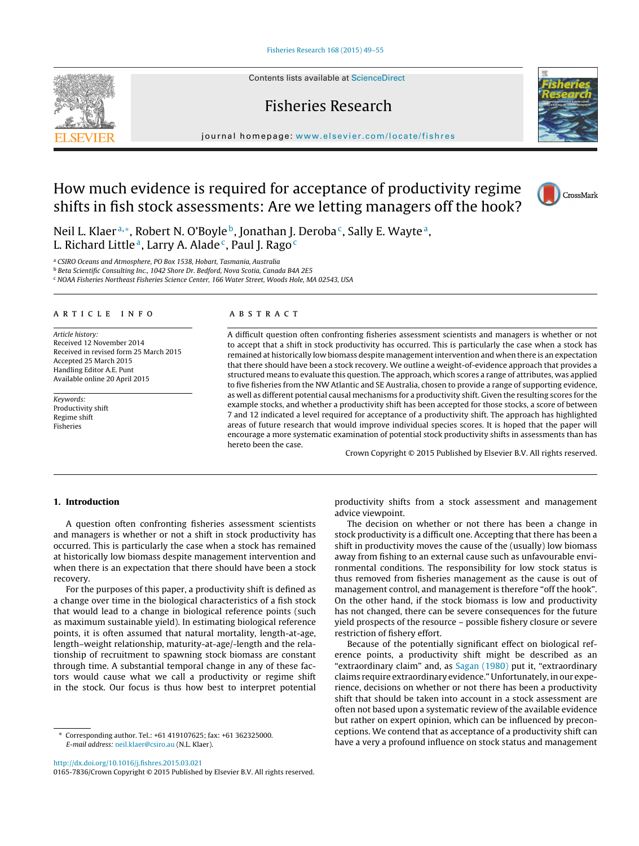Contents lists available at [ScienceDirect](http://www.sciencedirect.com/science/journal/01657836)

# Fisheries Research

iournal homepage: [www.elsevier.com/locate/fishres](http://www.elsevier.com/locate/fishres)

# How much evidence is required for acceptance of productivity regime shifts in fish stock assessments: Are we letting managers off the hook?



Neil L. Klaer<sup>a,\*</sup>, Robert N. O'Boyle<sup>b</sup>, Jonathan J. Deroba<sup>c</sup>, Sally E. Wayte<sup>a</sup>, L. Richard Little<sup>a</sup>, Larry A. Alade<sup>c</sup>, Paul J. Rago<sup>c</sup>

<sup>a</sup> CSIRO Oceans and Atmosphere, PO Box 1538, Hobart, Tasmania, Australia

<sup>b</sup> Beta Scientific Consulting Inc., 1042 Shore Dr. Bedford, Nova Scotia, Canada B4A 2E5 <sup>c</sup> NOAA Fisheries Northeast Fisheries Science Center, 166 Water Street, Woods Hole, MA 02543, USA

## a r t i c l e i n f o

Article history: Received 12 November 2014 Received in revised form 25 March 2015 Accepted 25 March 2015 Handling Editor A.E. Punt Available online 20 April 2015

Keywords: Productivity shift Regime shift Fisheries

## a b s t r a c t

A difficult question often confronting fisheries assessment scientists and managers is whether or not to accept that a shift in stock productivity has occurred. This is particularly the case when a stock has remained at historically low biomass despite management intervention and when there is an expectation that there should have been a stock recovery. We outline a weight-of-evidence approach that provides a structured means to evaluate this question. The approach, which scores a range of attributes, was applied to five fisheries from the NW Atlantic and SE Australia, chosen to provide a range of supporting evidence, as well as different potential causal mechanisms for a productivity shift. Given the resulting scores for the example stocks, and whether a productivity shift has been accepted for those stocks, a score of between 7 and 12 indicated a level required for acceptance of a productivity shift. The approach has highlighted areas of future research that would improve individual species scores. It is hoped that the paper will encourage a more systematic examination of potential stock productivity shifts in assessments than has hereto been the case.

Crown Copyright © 2015 Published by Elsevier B.V. All rights reserved.

## **1. Introduction**

A question often confronting fisheries assessment scientists and managers is whether or not a shift in stock productivity has occurred. This is particularly the case when a stock has remained at historically low biomass despite management intervention and when there is an expectation that there should have been a stock recovery.

For the purposes of this paper, a productivity shift is defined as a change over time in the biological characteristics of a fish stock that would lead to a change in biological reference points (such as maximum sustainable yield). In estimating biological reference points, it is often assumed that natural mortality, length-at-age, length–weight relationship, maturity-at-age/-length and the relationship of recruitment to spawning stock biomass are constant through time. A substantial temporal change in any of these factors would cause what we call a productivity or regime shift in the stock. Our focus is thus how best to interpret potential

∗ Corresponding author. Tel.: +61 419107625; fax: +61 362325000. E-mail address: [neil.klaer@csiro.au](mailto:neil.klaer@csiro.au) (N.L. Klaer).

[http://dx.doi.org/10.1016/j.fishres.2015.03.021](dx.doi.org/10.1016/j.fishres.2015.03.021)

0165-7836/Crown Copyright © 2015 Published by Elsevier B.V. All rights reserved.

productivity shifts from a stock assessment and management advice viewpoint.

The decision on whether or not there has been a change in stock productivity is a difficult one. Accepting that there has been a shift in productivity moves the cause of the (usually) low biomass away from fishing to an external cause such as unfavourable environmental conditions. The responsibility for low stock status is thus removed from fisheries management as the cause is out of management control, and management is therefore "off the hook". On the other hand, if the stock biomass is low and productivity has not changed, there can be severe consequences for the future yield prospects of the resource – possible fishery closure or severe restriction of fishery effort.

Because of the potentially significant effect on biological reference points, a productivity shift might be described as an "extraordinary claim" and, as [Sagan](#page-6-0) [\(1980\)](#page-6-0) put it, "extraordinary claims require extraordinary evidence." Unfortunately, in our experience, decisions on whether or not there has been a productivity shift that should be taken into account in a stock assessment are often not based upon a systematic review of the available evidence but rather on expert opinion, which can be influenced by preconceptions. We contend that as acceptance of a productivity shift can have a very a profound influence on stock status and management

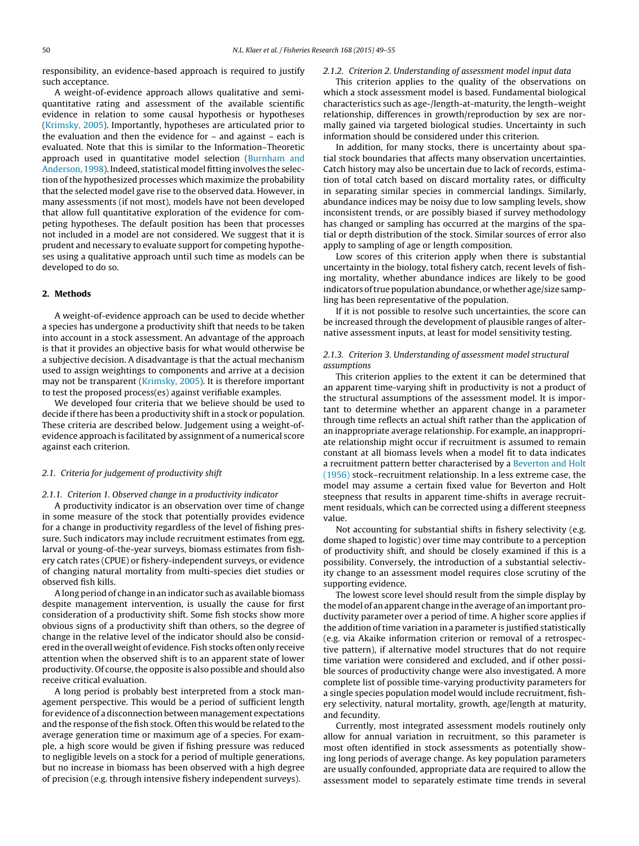responsibility, an evidence-based approach is required to justify such acceptance.

A weight-of-evidence approach allows qualitative and semiquantitative rating and assessment of the available scientific evidence in relation to some causal hypothesis or hypotheses ([Krimsky,](#page-6-0) [2005\).](#page-6-0) Importantly, hypotheses are articulated prior to the evaluation and then the evidence for – and against – each is evaluated. Note that this is similar to the Information–Theoretic approach used in quantitative model selection [\(Burnham](#page-6-0) [and](#page-6-0) [Anderson,](#page-6-0) [1998\).](#page-6-0) Indeed, statistical model fitting involves the selection of the hypothesized processes which maximize the probability that the selected model gave rise to the observed data. However, in many assessments (if not most), models have not been developed that allow full quantitative exploration of the evidence for competing hypotheses. The default position has been that processes not included in a model are not considered. We suggest that it is prudent and necessary to evaluate support for competing hypotheses using a qualitative approach until such time as models can be developed to do so.

## **2. Methods**

A weight-of-evidence approach can be used to decide whether a species has undergone a productivity shift that needs to be taken into account in a stock assessment. An advantage of the approach is that it provides an objective basis for what would otherwise be a subjective decision. A disadvantage is that the actual mechanism used to assign weightings to components and arrive at a decision may not be transparent ([Krimsky,](#page-6-0) [2005\).](#page-6-0) It is therefore important to test the proposed process(es) against verifiable examples.

We developed four criteria that we believe should be used to decide if there has been a productivity shift in a stock or population. These criteria are described below. Judgement using a weight-ofevidence approach is facilitated by assignment of a numerical score against each criterion.

## 2.1. Criteria for judgement of productivity shift

#### 2.1.1. Criterion 1. Observed change in a productivity indicator

A productivity indicator is an observation over time of change in some measure of the stock that potentially provides evidence for a change in productivity regardless of the level of fishing pressure. Such indicators may include recruitment estimates from egg, larval or young-of-the-year surveys, biomass estimates from fishery catch rates (CPUE) or fishery-independent surveys, or evidence of changing natural mortality from multi-species diet studies or observed fish kills.

A long period of change in an indicator such as available biomass despite management intervention, is usually the cause for first consideration of a productivity shift. Some fish stocks show more obvious signs of a productivity shift than others, so the degree of change in the relative level of the indicator should also be considered in the overall weight of evidence. Fish stocks often only receive attention when the observed shift is to an apparent state of lower productivity. Of course, the opposite is also possible and should also receive critical evaluation.

A long period is probably best interpreted from a stock management perspective. This would be a period of sufficient length for evidence of a disconnection between management expectations and the response of the fish stock. Often this would be related to the average generation time or maximum age of a species. For example, a high score would be given if fishing pressure was reduced to negligible levels on a stock for a period of multiple generations, but no increase in biomass has been observed with a high degree of precision (e.g. through intensive fishery independent surveys).

#### 2.1.2. Criterion 2. Understanding of assessment model input data

This criterion applies to the quality of the observations on which a stock assessment model is based. Fundamental biological characteristics such as age-/length-at-maturity, the length–weight relationship, differences in growth/reproduction by sex are normally gained via targeted biological studies. Uncertainty in such information should be considered under this criterion.

In addition, for many stocks, there is uncertainty about spatial stock boundaries that affects many observation uncertainties. Catch history may also be uncertain due to lack of records, estimation of total catch based on discard mortality rates, or difficulty in separating similar species in commercial landings. Similarly, abundance indices may be noisy due to low sampling levels, show inconsistent trends, or are possibly biased if survey methodology has changed or sampling has occurred at the margins of the spatial or depth distribution of the stock. Similar sources of error also apply to sampling of age or length composition.

Low scores of this criterion apply when there is substantial uncertainty in the biology, total fishery catch, recent levels of fishing mortality, whether abundance indices are likely to be good indicators of true population abundance, or whether age/size sampling has been representative of the population.

If it is not possible to resolve such uncertainties, the score can be increased through the development of plausible ranges of alternative assessment inputs, at least for model sensitivity testing.

# 2.1.3. Criterion 3. Understanding of assessment model structural assumptions

This criterion applies to the extent it can be determined that an apparent time-varying shift in productivity is not a product of the structural assumptions of the assessment model. It is important to determine whether an apparent change in a parameter through time reflects an actual shift rather than the application of an inappropriate average relationship. For example, an inappropriate relationship might occur if recruitment is assumed to remain constant at all biomass levels when a model fit to data indicates a recruitment pattern better characterised by a [Beverton](#page-6-0) [and](#page-6-0) [Holt](#page-6-0) [\(1956\)](#page-6-0) stock–recruitment relationship. In a less extreme case, the model may assume a certain fixed value for Beverton and Holt steepness that results in apparent time-shifts in average recruitment residuals, which can be corrected using a different steepness value.

Not accounting for substantial shifts in fishery selectivity (e.g. dome shaped to logistic) over time may contribute to a perception of productivity shift, and should be closely examined if this is a possibility. Conversely, the introduction of a substantial selectivity change to an assessment model requires close scrutiny of the supporting evidence.

The lowest score level should result from the simple display by the model of an apparent change in the average of an important productivity parameter over a period of time. A higher score applies if the addition of time variation in a parameter is justified statistically (e.g. via Akaike information criterion or removal of a retrospective pattern), if alternative model structures that do not require time variation were considered and excluded, and if other possible sources of productivity change were also investigated. A more complete list of possible time-varying productivity parameters for a single species population model would include recruitment, fishery selectivity, natural mortality, growth, age/length at maturity, and fecundity.

Currently, most integrated assessment models routinely only allow for annual variation in recruitment, so this parameter is most often identified in stock assessments as potentially showing long periods of average change. As key population parameters are usually confounded, appropriate data are required to allow the assessment model to separately estimate time trends in several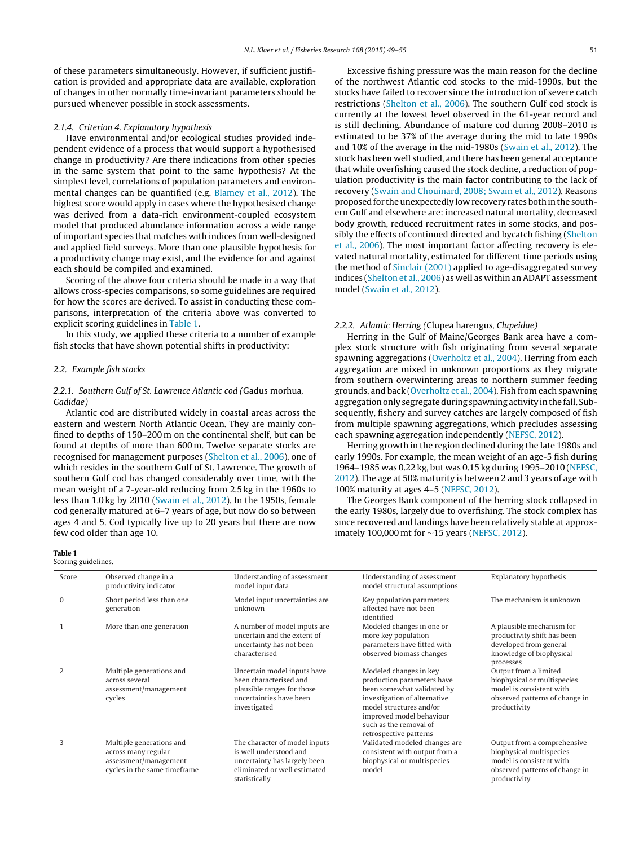of these parameters simultaneously. However, if sufficient justification is provided and appropriate data are available, exploration of changes in other normally time-invariant parameters should be pursued whenever possible in stock assessments.

### 2.1.4. Criterion 4. Explanatory hypothesis

Have environmental and/or ecological studies provided independent evidence of a process that would support a hypothesised change in productivity? Are there indications from other species in the same system that point to the same hypothesis? At the simplest level, correlations of population parameters and environmental changes can be quantified (e.g. [Blamey](#page-6-0) et [al.,](#page-6-0) [2012\).](#page-6-0) The highest score would apply in cases where the hypothesised change was derived from a data-rich environment-coupled ecosystem model that produced abundance information across a wide range of important species that matches with indices from well-designed and applied field surveys. More than one plausible hypothesis for a productivity change may exist, and the evidence for and against each should be compiled and examined.

Scoring of the above four criteria should be made in a way that allows cross-species comparisons, so some guidelines are required for how the scores are derived. To assist in conducting these comparisons, interpretation of the criteria above was converted to explicit scoring guidelines in Table 1.

In this study, we applied these criteria to a number of example fish stocks that have shown potential shifts in productivity:

## 2.2. Example fish stocks

# 2.2.1. Southern Gulf of St. Lawrence Atlantic cod (Gadus morhua, Gadidae)

Atlantic cod are distributed widely in coastal areas across the eastern and western North Atlantic Ocean. They are mainly confined to depths of 150–200 m on the continental shelf, but can be found at depths of more than 600 m. Twelve separate stocks are recognised for management purposes [\(Shelton](#page-6-0) et [al.,](#page-6-0) [2006\),](#page-6-0) one of which resides in the southern Gulf of St. Lawrence. The growth of southern Gulf cod has changed considerably over time, with the mean weight of a 7-year-old reducing from 2.5 kg in the 1960s to less than 1.0 kg by 2010 [\(Swain](#page-6-0) et [al.,](#page-6-0) [2012\).](#page-6-0) In the 1950s, female cod generally matured at 6–7 years of age, but now do so between ages 4 and 5. Cod typically live up to 20 years but there are now few cod older than age 10.

### **Table 1** Scoring guidelines.

Excessive fishing pressure was the main reason for the decline of the northwest Atlantic cod stocks to the mid-1990s, but the stocks have failed to recover since the introduction of severe catch restrictions ([Shelton](#page-6-0) et [al.,](#page-6-0) [2006\).](#page-6-0) The southern Gulf cod stock is currently at the lowest level observed in the 61-year record and is still declining. Abundance of mature cod during 2008–2010 is estimated to be 37% of the average during the mid to late 1990s and 10% of the average in the mid-1980s ([Swain](#page-6-0) et [al.,](#page-6-0) [2012\).](#page-6-0) The stock has been well studied, and there has been general acceptance that while overfishing caused the stock decline, a reduction of population productivity is the main factor contributing to the lack of recovery [\(Swain](#page-6-0) [and](#page-6-0) [Chouinard,](#page-6-0) [2008;](#page-6-0) [Swain](#page-6-0) et [al.,](#page-6-0) [2012\).](#page-6-0) Reasons proposed for the unexpectedly low recovery rates both in the southern Gulf and elsewhere are: increased natural mortality, decreased body growth, reduced recruitment rates in some stocks, and pos-sibly the effects of continued directed and bycatch fishing ([Shelton](#page-6-0) et [al.,](#page-6-0) [2006\).](#page-6-0) The most important factor affecting recovery is elevated natural mortality, estimated for different time periods using the method of [Sinclair](#page-6-0) [\(2001\)](#page-6-0) applied to age-disaggregated survey indices ([Shelton](#page-6-0) et [al.,](#page-6-0) [2006\)](#page-6-0) as well as within an ADAPT assessment model ([Swain](#page-6-0) [et](#page-6-0) [al](#page-6-0)., [2012\).](#page-6-0)

## 2.2.2. Atlantic Herring (Clupea harengus, Clupeidae)

Herring in the Gulf of Maine/Georges Bank area have a complex stock structure with fish originating from several separate spawning aggregations [\(Overholtz](#page-6-0) et [al.,](#page-6-0) [2004\).](#page-6-0) Herring from each aggregation are mixed in unknown proportions as they migrate from southern overwintering areas to northern summer feeding grounds, and back ([Overholtz](#page-6-0) et [al.,](#page-6-0) [2004\).](#page-6-0) Fish from each spawning aggregation only segregate during spawning activity in the fall. Subsequently, fishery and survey catches are largely composed of fish from multiple spawning aggregations, which precludes assessing each spawning aggregation independently [\(NEFSC,](#page-6-0) [2012\).](#page-6-0)

Herring growth in the region declined during the late 1980s and early 1990s. For example, the mean weight of an age-5 fish during 1964–1985 was 0.22 kg, but was 0.15 kg during 1995–2010 [\(NEFSC,](#page-6-0) [2012\).](#page-6-0) The age at 50% maturity is between 2 and 3 years of age with 100% maturity at ages 4–5 [\(NEFSC,](#page-6-0) [2012\).](#page-6-0)

The Georges Bank component of the herring stock collapsed in the early 1980s, largely due to overfishing. The stock complex has since recovered and landings have been relatively stable at approximately 100,000 mt for ∼15 years [\(NEFSC,](#page-6-0) [2012\).](#page-6-0)

| Score    | Observed change in a<br>productivity indicator                                                           | Understanding of assessment<br>model input data                                                                                          | Understanding of assessment<br>model structural assumptions                                                                                                                                                                   | <b>Explanatory hypothesis</b>                                                                                                         |
|----------|----------------------------------------------------------------------------------------------------------|------------------------------------------------------------------------------------------------------------------------------------------|-------------------------------------------------------------------------------------------------------------------------------------------------------------------------------------------------------------------------------|---------------------------------------------------------------------------------------------------------------------------------------|
| $\Omega$ | Short period less than one<br>generation                                                                 | Model input uncertainties are<br>unknown                                                                                                 | Key population parameters<br>affected have not been<br>identified                                                                                                                                                             | The mechanism is unknown                                                                                                              |
|          | More than one generation                                                                                 | A number of model inputs are<br>uncertain and the extent of<br>uncertainty has not been<br>characterised                                 | Modeled changes in one or<br>more key population<br>parameters have fitted with<br>observed biomass changes                                                                                                                   | A plausible mechanism for<br>productivity shift has been<br>developed from general<br>knowledge of biophysical<br>processes           |
| 2        | Multiple generations and<br>across several<br>assessment/management<br>cycles                            | Uncertain model inputs have<br>been characterised and<br>plausible ranges for those<br>uncertainties have been<br>investigated           | Modeled changes in key<br>production parameters have<br>been somewhat validated by<br>investigation of alternative<br>model structures and/or<br>improved model behaviour<br>such as the removal of<br>retrospective patterns | Output from a limited<br>biophysical or multispecies<br>model is consistent with<br>observed patterns of change in<br>productivity    |
| 3        | Multiple generations and<br>across many regular<br>assessment/management<br>cycles in the same timeframe | The character of model inputs<br>is well understood and<br>uncertainty has largely been<br>eliminated or well estimated<br>statistically | Validated modeled changes are<br>consistent with output from a<br>biophysical or multispecies<br>model                                                                                                                        | Output from a comprehensive<br>biophysical multispecies<br>model is consistent with<br>observed patterns of change in<br>productivity |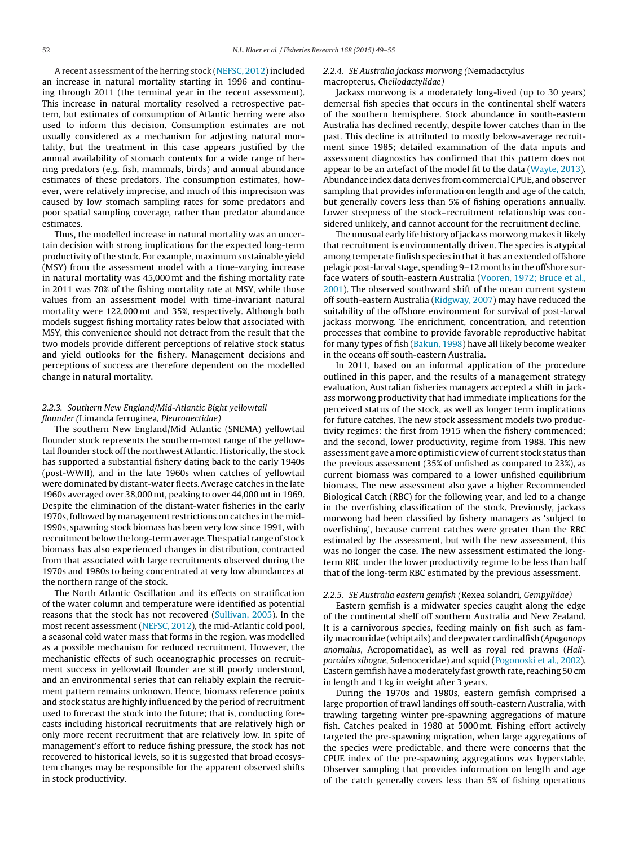A recent assessment of the herring stock ([NEFSC,](#page-6-0) 2012) included an increase in natural mortality starting in 1996 and continuing through 2011 (the terminal year in the recent assessment). This increase in natural mortality resolved a retrospective pattern, but estimates of consumption of Atlantic herring were also used to inform this decision. Consumption estimates are not usually considered as a mechanism for adjusting natural mortality, but the treatment in this case appears justified by the annual availability of stomach contents for a wide range of herring predators (e.g. fish, mammals, birds) and annual abundance estimates of these predators. The consumption estimates, however, were relatively imprecise, and much of this imprecision was caused by low stomach sampling rates for some predators and poor spatial sampling coverage, rather than predator abundance estimates.

Thus, the modelled increase in natural mortality was an uncertain decision with strong implications for the expected long-term productivity of the stock. For example, maximum sustainable yield (MSY) from the assessment model with a time-varying increase in natural mortality was 45,000 mt and the fishing mortality rate in 2011 was 70% of the fishing mortality rate at MSY, while those values from an assessment model with time-invariant natural mortality were 122,000 mt and 35%, respectively. Although both models suggest fishing mortality rates below that associated with MSY, this convenience should not detract from the result that the two models provide different perceptions of relative stock status and yield outlooks for the fishery. Management decisions and perceptions of success are therefore dependent on the modelled change in natural mortality.

# 2.2.3. Southern New England/Mid-Atlantic Bight yellowtail flounder (Limanda ferruginea, Pleuronectidae)

The southern New England/Mid Atlantic (SNEMA) yellowtail flounder stock represents the southern-most range of the yellowtail flounder stock off the northwest Atlantic. Historically, the stock has supported a substantial fishery dating back to the early 1940s (post-WWII), and in the late 1960s when catches of yellowtail were dominated by distant-water fleets. Average catches in the late 1960s averaged over 38,000 mt, peaking to over 44,000 mt in 1969. Despite the elimination of the distant-water fisheries in the early 1970s, followed by management restrictions on catches in the mid-1990s, spawning stock biomass has been very low since 1991, with recruitment below the long-termaverage. The spatial range of stock biomass has also experienced changes in distribution, contracted from that associated with large recruitments observed during the 1970s and 1980s to being concentrated at very low abundances at the northern range of the stock.

The North Atlantic Oscillation and its effects on stratification of the water column and temperature were identified as potential reasons that the stock has not recovered [\(Sullivan,](#page-6-0) [2005\).](#page-6-0) In the most recent assessment ([NEFSC,](#page-6-0) [2012\),](#page-6-0) the mid-Atlantic cold pool, a seasonal cold water mass that forms in the region, was modelled as a possible mechanism for reduced recruitment. However, the mechanistic effects of such oceanographic processes on recruitment success in yellowtail flounder are still poorly understood, and an environmental series that can reliably explain the recruitment pattern remains unknown. Hence, biomass reference points and stock status are highly influenced by the period of recruitment used to forecast the stock into the future; that is, conducting forecasts including historical recruitments that are relatively high or only more recent recruitment that are relatively low. In spite of management's effort to reduce fishing pressure, the stock has not recovered to historical levels, so it is suggested that broad ecosystem changes may be responsible for the apparent observed shifts in stock productivity.

## 2.2.4. SE Australia jackass morwong (Nemadactylus macropterus, Cheilodactylidae)

Jackass morwong is a moderately long-lived (up to 30 years) demersal fish species that occurs in the continental shelf waters of the southern hemisphere. Stock abundance in south-eastern Australia has declined recently, despite lower catches than in the past. This decline is attributed to mostly below-average recruitment since 1985; detailed examination of the data inputs and assessment diagnostics has confirmed that this pattern does not appear to be an artefact of the model fit to the data ([Wayte,](#page-6-0) [2013\).](#page-6-0) Abundance index data derives from commercial CPUE, and observer sampling that provides information on length and age of the catch, but generally covers less than 5% of fishing operations annually. Lower steepness of the stock–recruitment relationship was considered unlikely, and cannot account for the recruitment decline.

The unusual early life history of jackass morwong makes it likely that recruitment is environmentally driven. The species is atypical among temperate finfish species in that it has an extended offshore pelagic post-larval stage, spending 9-12 months in the offshore surface waters of south-eastern Australia [\(Vooren,](#page-6-0) [1972;](#page-6-0) [Bruce](#page-6-0) et [al.,](#page-6-0) [2001\).](#page-6-0) The observed southward shift of the ocean current system off south-eastern Australia ([Ridgway,](#page-6-0) [2007\)](#page-6-0) may have reduced the suitability of the offshore environment for survival of post-larval jackass morwong. The enrichment, concentration, and retention processes that combine to provide favorable reproductive habitat for many types of fish ([Bakun,](#page-6-0) [1998\)](#page-6-0) have all likely become weaker in the oceans off south-eastern Australia.

In 2011, based on an informal application of the procedure outlined in this paper, and the results of a management strategy evaluation, Australian fisheries managers accepted a shift in jackass morwong productivity that had immediate implications for the perceived status of the stock, as well as longer term implications for future catches. The new stock assessment models two productivity regimes: the first from 1915 when the fishery commenced; and the second, lower productivity, regime from 1988. This new assessment gave amore optimistic view of current stock status than the previous assessment (35% of unfished as compared to 23%), as current biomass was compared to a lower unfished equilibrium biomass. The new assessment also gave a higher Recommended Biological Catch (RBC) for the following year, and led to a change in the overfishing classification of the stock. Previously, jackass morwong had been classified by fishery managers as 'subject to overfishing', because current catches were greater than the RBC estimated by the assessment, but with the new assessment, this was no longer the case. The new assessment estimated the longterm RBC under the lower productivity regime to be less than half that of the long-term RBC estimated by the previous assessment.

## 2.2.5. SE Australia eastern gemfish (Rexea solandri, Gempylidae)

Eastern gemfish is a midwater species caught along the edge of the continental shelf off southern Australia and New Zealand. It is a carnivorous species, feeding mainly on fish such as family macrouridae (whiptails) and deepwater cardinalfish (Apogonops anomalus, Acropomatidae), as well as royal red prawns (Haliporoides sibogae, Solenoceridae) and squid ([Pogonoski](#page-6-0) et [al.,](#page-6-0) [2002\).](#page-6-0) Eastern gemfish have a moderately fast growth rate, reaching 50 cm in length and 1 kg in weight after 3 years.

During the 1970s and 1980s, eastern gemfish comprised a large proportion of trawl landings off south-eastern Australia, with trawling targeting winter pre-spawning aggregations of mature fish. Catches peaked in 1980 at 5000 mt. Fishing effort actively targeted the pre-spawning migration, when large aggregations of the species were predictable, and there were concerns that the CPUE index of the pre-spawning aggregations was hyperstable. Observer sampling that provides information on length and age of the catch generally covers less than 5% of fishing operations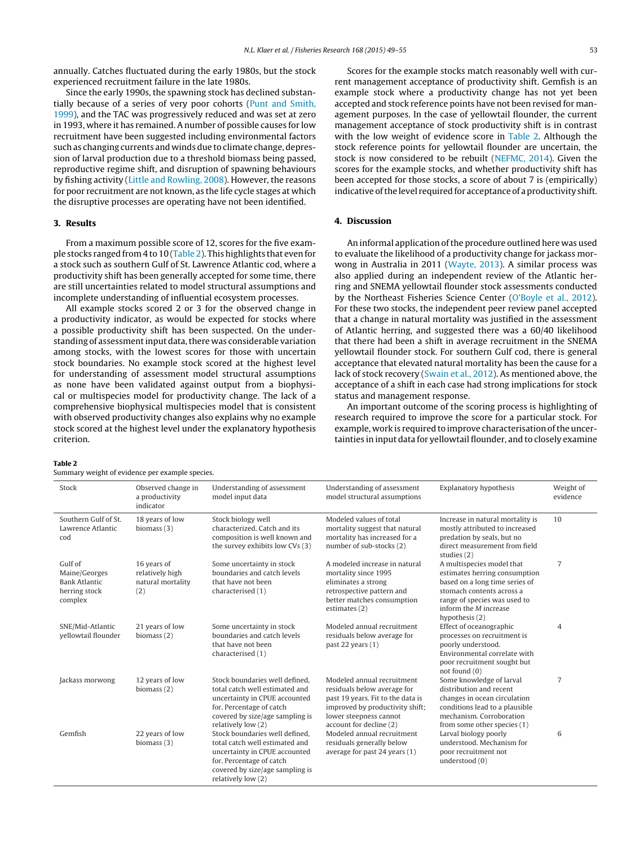annually. Catches fluctuated during the early 1980s, but the stock experienced recruitment failure in the late 1980s.

Since the early 1990s, the spawning stock has declined substantially because of a series of very poor cohorts ([Punt](#page-6-0) [and](#page-6-0) [Smith,](#page-6-0) [1999\),](#page-6-0) and the TAC was progressively reduced and was set at zero in 1993, where it has remained. A number of possible causes for low recruitment have been suggested including environmental factors such as changing currents and winds due to climate change, depression of larval production due to a threshold biomass being passed, reproductive regime shift, and disruption of spawning behaviours by fishing activity ([Little](#page-6-0) [and](#page-6-0) [Rowling,](#page-6-0) [2008\).](#page-6-0) However, the reasons for poor recruitment are not known, as the life cycle stages at which the disruptive processes are operating have not been identified.

#### **3. Results**

From a maximum possible score of 12, scores for the five example stocks ranged from4 to 10 (Table 2). This highlights that even for a stock such as southern Gulf of St. Lawrence Atlantic cod, where a productivity shift has been generally accepted for some time, there are still uncertainties related to model structural assumptions and incomplete understanding of influential ecosystem processes.

All example stocks scored 2 or 3 for the observed change in a productivity indicator, as would be expected for stocks where a possible productivity shift has been suspected. On the understanding of assessment input data, there was considerable variation among stocks, with the lowest scores for those with uncertain stock boundaries. No example stock scored at the highest level for understanding of assessment model structural assumptions as none have been validated against output from a biophysical or multispecies model for productivity change. The lack of a comprehensive biophysical multispecies model that is consistent with observed productivity changes also explains why no example stock scored at the highest level under the explanatory hypothesis criterion.

#### **Table 2**

Summary weight of evidence per example species.

Scores for the example stocks match reasonably well with current management acceptance of productivity shift. Gemfish is an example stock where a productivity change has not yet been accepted and stock reference points have not been revised for management purposes. In the case of yellowtail flounder, the current management acceptance of stock productivity shift is in contrast with the low weight of evidence score in Table 2. Although the stock reference points for yellowtail flounder are uncertain, the stock is now considered to be rebuilt ([NEFMC,](#page-6-0) [2014\).](#page-6-0) Given the scores for the example stocks, and whether productivity shift has been accepted for those stocks, a score of about 7 is (empirically) indicative of the level required for acceptance of a productivity shift.

# **4. Discussion**

An informal application of the procedure outlined here was used to evaluate the likelihood of a productivity change for jackass morwong in Australia in 2011 ([Wayte,](#page-6-0) [2013\).](#page-6-0) A similar process was also applied during an independent review of the Atlantic herring and SNEMA yellowtail flounder stock assessments conducted by the Northeast Fisheries Science Center [\(O'Boyle](#page-6-0) [et](#page-6-0) [al](#page-6-0)., [2012\).](#page-6-0) For these two stocks, the independent peer review panel accepted that a change in natural mortality was justified in the assessment of Atlantic herring, and suggested there was a 60/40 likelihood that there had been a shift in average recruitment in the SNEMA yellowtail flounder stock. For southern Gulf cod, there is general acceptance that elevated natural mortality has been the cause for a lack of stock recovery [\(Swain](#page-6-0) et [al.,](#page-6-0) [2012\).](#page-6-0) As mentioned above, the acceptance of a shift in each case had strong implications for stock status and management response.

An important outcome of the scoring process is highlighting of research required to improve the score for a particular stock. For example, work is required to improve characterisation ofthe uncertainties in input data for yellowtail flounder, and to closely examine

| Stock                                                       |                                           | Observed change in<br>a productivity<br>indicator          | Understanding of assessment<br>model input data                                                                                                                                        | Understanding of assessment<br>model structural assumptions                                                                                                                            | <b>Explanatory hypothesis</b>                                                                                                                                                                               | Weight of<br>evidence |
|-------------------------------------------------------------|-------------------------------------------|------------------------------------------------------------|----------------------------------------------------------------------------------------------------------------------------------------------------------------------------------------|----------------------------------------------------------------------------------------------------------------------------------------------------------------------------------------|-------------------------------------------------------------------------------------------------------------------------------------------------------------------------------------------------------------|-----------------------|
| cod                                                         | Southern Gulf of St.<br>Lawrence Atlantic | 18 years of low<br>biomass (3)                             | Stock biology well<br>characterized. Catch and its<br>composition is well known and<br>the survey exhibits low CVs (3)                                                                 | Modeled values of total<br>mortality suggest that natural<br>mortality has increased for a<br>number of sub-stocks (2)                                                                 | Increase in natural mortality is<br>mostly attributed to increased<br>predation by seals, but no<br>direct measurement from field<br>studies (2)                                                            | 10                    |
| Gulf of<br><b>Bank Atlantic</b><br>herring stock<br>complex | Maine/Georges                             | 16 years of<br>relatively high<br>natural mortality<br>(2) | Some uncertainty in stock<br>boundaries and catch levels<br>that have not been<br>characterised (1)                                                                                    | A modeled increase in natural<br>mortality since 1995<br>eliminates a strong<br>retrospective pattern and<br>better matches consumption<br>estimates (2)                               | A multispecies model that<br>estimates herring consumption<br>based on a long time series of<br>stomach contents across a<br>range of species was used to<br>inform the <i>M</i> increase<br>hypothesis (2) | $\overline{7}$        |
|                                                             | SNE/Mid-Atlantic<br>yellowtail flounder   | 21 years of low<br>biomass $(2)$                           | Some uncertainty in stock<br>boundaries and catch levels<br>that have not been<br>characterised (1)                                                                                    | Modeled annual recruitment<br>residuals below average for<br>past 22 years (1)                                                                                                         | Effect of oceanographic<br>processes on recruitment is<br>poorly understood.<br>Environmental correlate with<br>poor recruitment sought but<br>not found (0)                                                | $\overline{4}$        |
|                                                             | Jackass morwong                           | 12 years of low<br>biomass $(2)$                           | Stock boundaries well defined.<br>total catch well estimated and<br>uncertainty in CPUE accounted<br>for. Percentage of catch<br>covered by size/age sampling is<br>relatively low (2) | Modeled annual recruitment<br>residuals below average for<br>past 19 years. Fit to the data is<br>improved by productivity shift;<br>lower steepness cannot<br>account for decline (2) | Some knowledge of larval<br>distribution and recent<br>changes in ocean circulation<br>conditions lead to a plausible<br>mechanism. Corroboration<br>from some other species (1)                            | 7                     |
| Gemfish                                                     |                                           | 22 years of low<br>biomass (3)                             | Stock boundaries well defined.<br>total catch well estimated and<br>uncertainty in CPUE accounted<br>for. Percentage of catch<br>covered by size/age sampling is<br>relatively low (2) | Modeled annual recruitment<br>residuals generally below<br>average for past 24 years (1)                                                                                               | Larval biology poorly<br>understood. Mechanism for<br>poor recruitment not<br>understood (0)                                                                                                                | 6                     |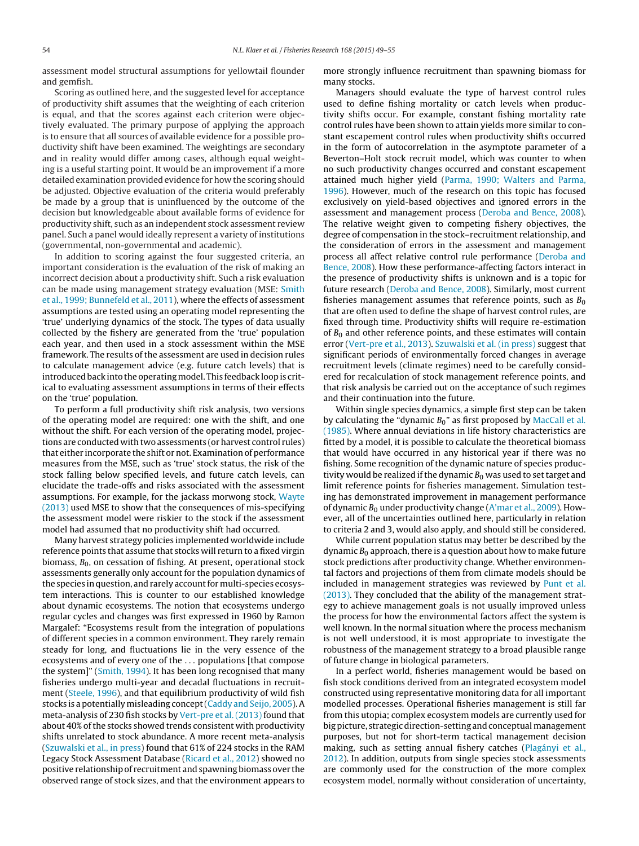assessment model structural assumptions for yellowtail flounder and gemfish.

Scoring as outlined here, and the suggested level for acceptance of productivity shift assumes that the weighting of each criterion is equal, and that the scores against each criterion were objectively evaluated. The primary purpose of applying the approach is to ensure that all sources of available evidence for a possible productivity shift have been examined. The weightings are secondary and in reality would differ among cases, although equal weighting is a useful starting point. It would be an improvement if a more detailed examination provided evidence for how the scoring should be adjusted. Objective evaluation of the criteria would preferably be made by a group that is uninfluenced by the outcome of the decision but knowledgeable about available forms of evidence for productivity shift, such as an independent stock assessment review panel. Such a panel would ideally represent a variety of institutions (governmental, non-governmental and academic).

In addition to scoring against the four suggested criteria, an important consideration is the evaluation of the risk of making an incorrect decision about a productivity shift. Such a risk evaluation can be made using management strategy evaluation (MSE: [Smith](#page-6-0) et [al.,](#page-6-0) [1999;](#page-6-0) [Bunnefeld](#page-6-0) et [al.,](#page-6-0) [2011\),](#page-6-0) where the effects of assessment assumptions are tested using an operating model representing the 'true' underlying dynamics of the stock. The types of data usually collected by the fishery are generated from the 'true' population each year, and then used in a stock assessment within the MSE framework. The results of the assessment are used in decision rules to calculate management advice (e.g. future catch levels) that is introduced back into the operating model. This feedback loop is critical to evaluating assessment assumptions in terms of their effects on the 'true' population.

To perform a full productivity shift risk analysis, two versions of the operating model are required: one with the shift, and one without the shift. For each version of the operating model, projections are conducted with two assessments (or harvest control rules) that either incorporate the shift or not. Examination of performance measures from the MSE, such as 'true' stock status, the risk of the stock falling below specified levels, and future catch levels, can elucidate the trade-offs and risks associated with the assessment assumptions. For example, for the jackass morwong stock, [Wayte](#page-6-0) [\(2013\)](#page-6-0) used MSE to show that the consequences of mis-specifying the assessment model were riskier to the stock if the assessment model had assumed that no productivity shift had occurred.

Many harvest strategy policies implemented worldwide include reference points that assume that stocks will return to a fixed virgin biomass,  $B_0$ , on cessation of fishing. At present, operational stock assessments generally only account for the population dynamics of the species in question, and rarely account for multi-species ecosystem interactions. This is counter to our established knowledge about dynamic ecosystems. The notion that ecosystems undergo regular cycles and changes was first expressed in 1960 by Ramon Margalef: "Ecosystems result from the integration of populations of different species in a common environment. They rarely remain steady for long, and fluctuations lie in the very essence of the ecosystems and of every one of the . . . populations [that compose the system]" [\(Smith,](#page-6-0) [1994\).](#page-6-0) It has been long recognised that many fisheries undergo multi-year and decadal fluctuations in recruitment [\(Steele,](#page-6-0) [1996\),](#page-6-0) and that equilibrium productivity of wild fish stocks is a potentially misleading concept [\(Caddy](#page-6-0) [and](#page-6-0) [Seijo,](#page-6-0) [2005\).](#page-6-0) A meta-analysis of 230 fish stocks by [Vert-pre](#page-6-0) et [al.](#page-6-0) [\(2013\)](#page-6-0) found that about 40% of the stocks showed trends consistent with productivity shifts unrelated to stock abundance. A more recent meta-analysis ([Szuwalski](#page-6-0) et [al.,](#page-6-0) [in](#page-6-0) [press\)](#page-6-0) found that 61% of 224 stocks in the RAM Legacy Stock Assessment Database [\(Ricard](#page-6-0) et [al.,](#page-6-0) [2012\)](#page-6-0) showed no positive relationship of recruitment and spawning biomass over the observed range of stock sizes, and that the environment appears to

more strongly influence recruitment than spawning biomass for many stocks.

Managers should evaluate the type of harvest control rules used to define fishing mortality or catch levels when productivity shifts occur. For example, constant fishing mortality rate control rules have been shown to attain yields more similar to constant escapement control rules when productivity shifts occurred in the form of autocorrelation in the asymptote parameter of a Beverton–Holt stock recruit model, which was counter to when no such productivity changes occurred and constant escapement attained much higher yield ([Parma,](#page-6-0) [1990;](#page-6-0) [Walters](#page-6-0) [and](#page-6-0) Parma, [1996\).](#page-6-0) However, much of the research on this topic has focused exclusively on yield-based objectives and ignored errors in the assessment and management process [\(Deroba](#page-6-0) [and](#page-6-0) [Bence,](#page-6-0) [2008\).](#page-6-0) The relative weight given to competing fishery objectives, the degree of compensation in the stock–recruitment relationship, and the consideration of errors in the assessment and management process all affect relative control rule performance ([Deroba](#page-6-0) [and](#page-6-0) [Bence,](#page-6-0) [2008\).](#page-6-0) How these performance-affecting factors interact in the presence of productivity shifts is unknown and is a topic for future research [\(Deroba](#page-6-0) [and](#page-6-0) [Bence,](#page-6-0) [2008\).](#page-6-0) Similarly, most current fisheries management assumes that reference points, such as  $B_0$ that are often used to define the shape of harvest control rules, are fixed through time. Productivity shifts will require re-estimation of  $B_0$  and other reference points, and these estimates will contain error ([Vert-pre](#page-6-0) et [al.,](#page-6-0) [2013\).](#page-6-0) [Szuwalski](#page-6-0) et [al.](#page-6-0) [\(in](#page-6-0) [press\)](#page-6-0) suggest that significant periods of environmentally forced changes in average recruitment levels (climate regimes) need to be carefully considered for recalculation of stock management reference points, and that risk analysis be carried out on the acceptance of such regimes and their continuation into the future.

Within single species dynamics, a simple first step can be taken by c[al](#page-6-0)culating the "dynamic  $B_0$ " as first proposed by [MacCall](#page-6-0) [et](#page-6-0) al. [\(1985\).](#page-6-0) Where annual deviations in life history characteristics are fitted by a model, it is possible to calculate the theoretical biomass that would have occurred in any historical year if there was no fishing. Some recognition of the dynamic nature of species productivity would be realized if the dynamic  $B_0$  was used to set target and limit reference points for fisheries management. Simulation testing has demonstrated improvement in management performance of dynamic  $B_0$  under productivity change [\(A'mar](#page-6-0) et [al.,](#page-6-0) [2009\).](#page-6-0) However, all of the uncertainties outlined here, particularly in relation to criteria 2 and 3, would also apply, and should still be considered.

While current population status may better be described by the dynamic  $B_0$  approach, there is a question about how to make future stock predictions after productivity change. Whether environmental factors and projections of them from climate models should be included in management strategies was reviewed by [Punt](#page-6-0) et [al.](#page-6-0) [\(2013\).](#page-6-0) They concluded that the ability of the management strategy to achieve management goals is not usually improved unless the process for how the environmental factors affect the system is well known. In the normal situation where the process mechanism is not well understood, it is most appropriate to investigate the robustness of the management strategy to a broad plausible range of future change in biological parameters.

In a perfect world, fisheries management would be based on fish stock conditions derived from an integrated ecosystem model constructed using representative monitoring data for all important modelled processes. Operational fisheries management is still far from this utopia; complex ecosystem models are currently used for big picture, strategic direction-setting and conceptual management purposes, but not for short-term tactical management decision making, such as setting annual fishery catches ([Plagányi](#page-6-0) et [al.,](#page-6-0) [2012\).](#page-6-0) In addition, outputs from single species stock assessments are commonly used for the construction of the more complex ecosystem model, normally without consideration of uncertainty,